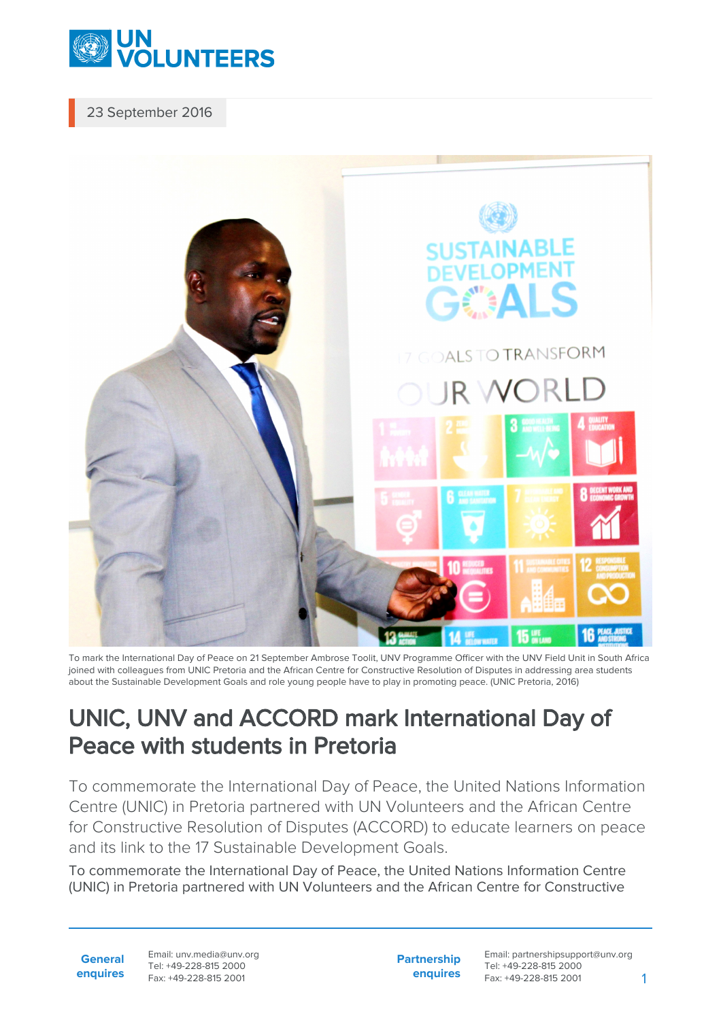

## 23 September 2016



To mark the International Day of Peace on 21 September Ambrose Toolit, UNV Programme Officer with the UNV Field Unit in South Africa joined with colleagues from UNIC Pretoria and the African Centre for Constructive Resolution of Disputes in addressing area students about the Sustainable Development Goals and role young people have to play in promoting peace. (UNIC Pretoria, 2016)

## UNIC, UNV and ACCORD mark International Day of Peace with students in Pretoria

To commemorate the International Day of Peace, the United Nations Information Centre (UNIC) in Pretoria partnered with UN Volunteers and the African Centre for Constructive Resolution of Disputes (ACCORD) to educate learners on peace and its link to the 17 Sustainable Development Goals.

To commemorate the International Day of Peace, the United Nations Information Centre (UNIC) in Pretoria partnered with UN Volunteers and the African Centre for Constructive

**General enquires** Email: unv.media@unv.org Tel: +49-228-815 2000 Fax: +49-228-815 2001

**Partnership enquires** Email: partnershipsupport@unv.org Tel: +49-228-815 2000 Fax: +49-228-815 2001 1